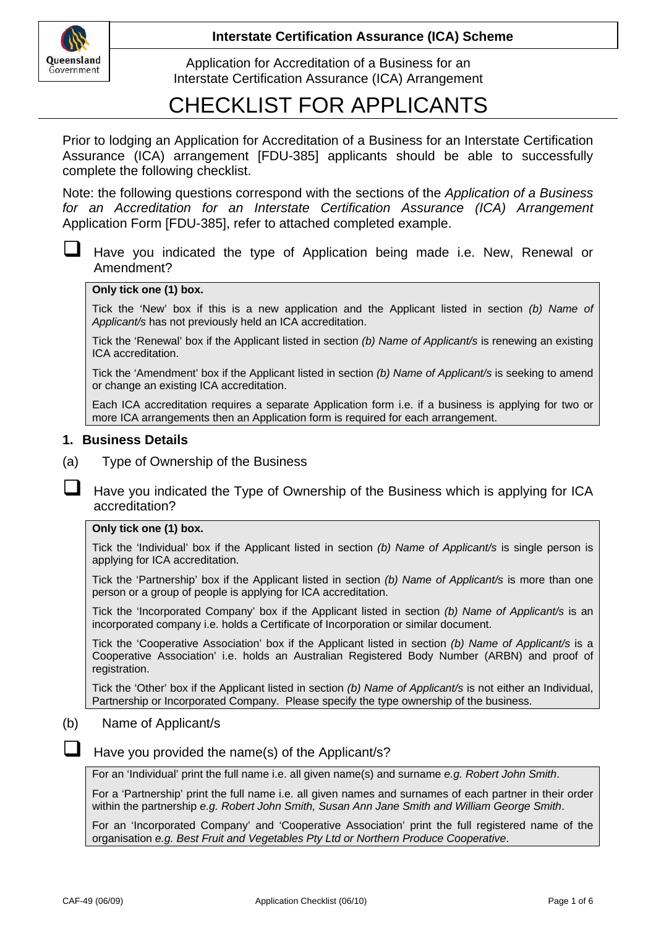

Application for Accreditation of a Business for an Interstate Certification Assurance (ICA) Arrangement

# CHECKLIST FOR APPLICANTS

Prior to lodging an Application for Accreditation of a Business for an Interstate Certification Assurance (ICA) arrangement [FDU-385] applicants should be able to successfully complete the following checklist.

Note: the following questions correspond with the sections of the *Application of a Business*  for an Accreditation for an Interstate Certification Assurance (ICA) Arrangement Application Form [FDU-385], refer to attached completed example.

 Have you indicated the type of Application being made i.e. New, Renewal or Amendment?

#### **Only tick one (1) box.**

Tick the 'New' box if this is a new application and the Applicant listed in section *(b) Name of Applicant/s* has not previously held an ICA accreditation.

Tick the 'Renewal' box if the Applicant listed in section *(b) Name of Applicant/s* is renewing an existing ICA accreditation.

Tick the 'Amendment' box if the Applicant listed in section *(b) Name of Applicant/s* is seeking to amend or change an existing ICA accreditation.

Each ICA accreditation requires a separate Application form i.e. if a business is applying for two or more ICA arrangements then an Application form is required for each arrangement.

#### **1. Business Details**

(a) Type of Ownership of the Business

 Have you indicated the Type of Ownership of the Business which is applying for ICA accreditation?

#### **Only tick one (1) box.**

Tick the 'Individual' box if the Applicant listed in section *(b) Name of Applicant/s* is single person is applying for ICA accreditation.

Tick the 'Partnership' box if the Applicant listed in section *(b) Name of Applicant/s* is more than one person or a group of people is applying for ICA accreditation.

Tick the 'Incorporated Company' box if the Applicant listed in section *(b) Name of Applicant/s* is an incorporated company i.e. holds a Certificate of Incorporation or similar document.

Tick the 'Cooperative Association' box if the Applicant listed in section *(b) Name of Applicant/s* is a Cooperative Association' i.e. holds an Australian Registered Body Number (ARBN) and proof of registration.

Tick the 'Other' box if the Applicant listed in section *(b) Name of Applicant/s* is not either an Individual, Partnership or Incorporated Company. Please specify the type ownership of the business.

#### (b) Name of Applicant/s

 $\Box$  Have you provided the name(s) of the Applicant/s?

For an 'Individual' print the full name i.e. all given name(s) and surname *e.g. Robert John Smith*.

For a 'Partnership' print the full name i.e. all given names and surnames of each partner in their order within the partnership *e.g. Robert John Smith, Susan Ann Jane Smith and William George Smith*.

For an 'Incorporated Company' and 'Cooperative Association' print the full registered name of the organisation *e.g. Best Fruit and Vegetables Pty Ltd or Northern Produce Cooperative*.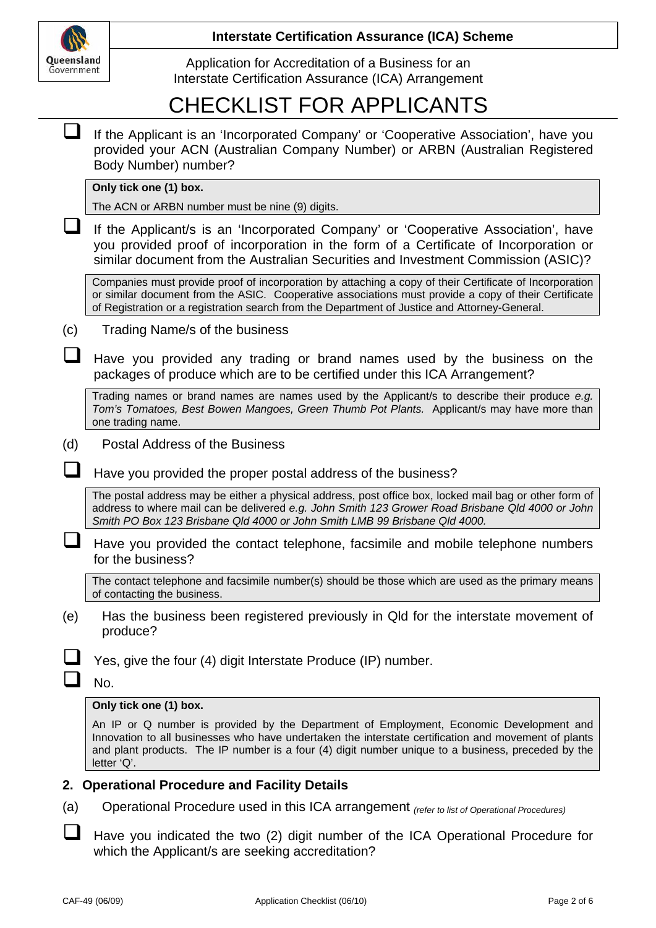

Application for Accreditation of a Business for an Interstate Certification Assurance (ICA) Arrangement

# CHECKLIST FOR APPLICANTS

|     | If the Applicant is an 'Incorporated Company' or 'Cooperative Association', have you<br>provided your ACN (Australian Company Number) or ARBN (Australian Registered<br>Body Number) number?                                                                                                                         |  |  |  |  |  |
|-----|----------------------------------------------------------------------------------------------------------------------------------------------------------------------------------------------------------------------------------------------------------------------------------------------------------------------|--|--|--|--|--|
|     | Only tick one (1) box.                                                                                                                                                                                                                                                                                               |  |  |  |  |  |
|     | The ACN or ARBN number must be nine (9) digits.                                                                                                                                                                                                                                                                      |  |  |  |  |  |
|     | If the Applicant/s is an 'Incorporated Company' or 'Cooperative Association', have<br>you provided proof of incorporation in the form of a Certificate of Incorporation or<br>similar document from the Australian Securities and Investment Commission (ASIC)?                                                      |  |  |  |  |  |
|     | Companies must provide proof of incorporation by attaching a copy of their Certificate of Incorporation<br>or similar document from the ASIC. Cooperative associations must provide a copy of their Certificate<br>of Registration or a registration search from the Department of Justice and Attorney-General.     |  |  |  |  |  |
| (c) | Trading Name/s of the business                                                                                                                                                                                                                                                                                       |  |  |  |  |  |
|     | Have you provided any trading or brand names used by the business on the<br>packages of produce which are to be certified under this ICA Arrangement?                                                                                                                                                                |  |  |  |  |  |
|     | Trading names or brand names are names used by the Applicant/s to describe their produce e.g.<br>Tom's Tomatoes, Best Bowen Mangoes, Green Thumb Pot Plants. Applicant/s may have more than<br>one trading name.                                                                                                     |  |  |  |  |  |
| (d) | <b>Postal Address of the Business</b>                                                                                                                                                                                                                                                                                |  |  |  |  |  |
|     | Have you provided the proper postal address of the business?                                                                                                                                                                                                                                                         |  |  |  |  |  |
|     | The postal address may be either a physical address, post office box, locked mail bag or other form of<br>address to where mail can be delivered e.g. John Smith 123 Grower Road Brisbane Qld 4000 or John<br>Smith PO Box 123 Brisbane Qld 4000 or John Smith LMB 99 Brisbane Qld 4000.                             |  |  |  |  |  |
|     | Have you provided the contact telephone, facsimile and mobile telephone numbers<br>for the business?                                                                                                                                                                                                                 |  |  |  |  |  |
|     | The contact telephone and facsimile number(s) should be those which are used as the primary means<br>of contacting the business.                                                                                                                                                                                     |  |  |  |  |  |
| (e) | Has the business been registered previously in Qld for the interstate movement of<br>produce?                                                                                                                                                                                                                        |  |  |  |  |  |
|     | Yes, give the four (4) digit Interstate Produce (IP) number.                                                                                                                                                                                                                                                         |  |  |  |  |  |
|     | No.                                                                                                                                                                                                                                                                                                                  |  |  |  |  |  |
|     | Only tick one (1) box.                                                                                                                                                                                                                                                                                               |  |  |  |  |  |
|     | An IP or Q number is provided by the Department of Employment, Economic Development and<br>Innovation to all businesses who have undertaken the interstate certification and movement of plants<br>and plant products. The IP number is a four (4) digit number unique to a business, preceded by the<br>letter 'Q'. |  |  |  |  |  |
| 2.  | <b>Operational Procedure and Facility Details</b>                                                                                                                                                                                                                                                                    |  |  |  |  |  |
| (a) | Operational Procedure used in this ICA arrangement (refer to list of Operational Procedures)                                                                                                                                                                                                                         |  |  |  |  |  |
|     |                                                                                                                                                                                                                                                                                                                      |  |  |  |  |  |

Have you indicated the two (2) digit number of the ICA Operational Procedure for which the Applicant/s are seeking accreditation?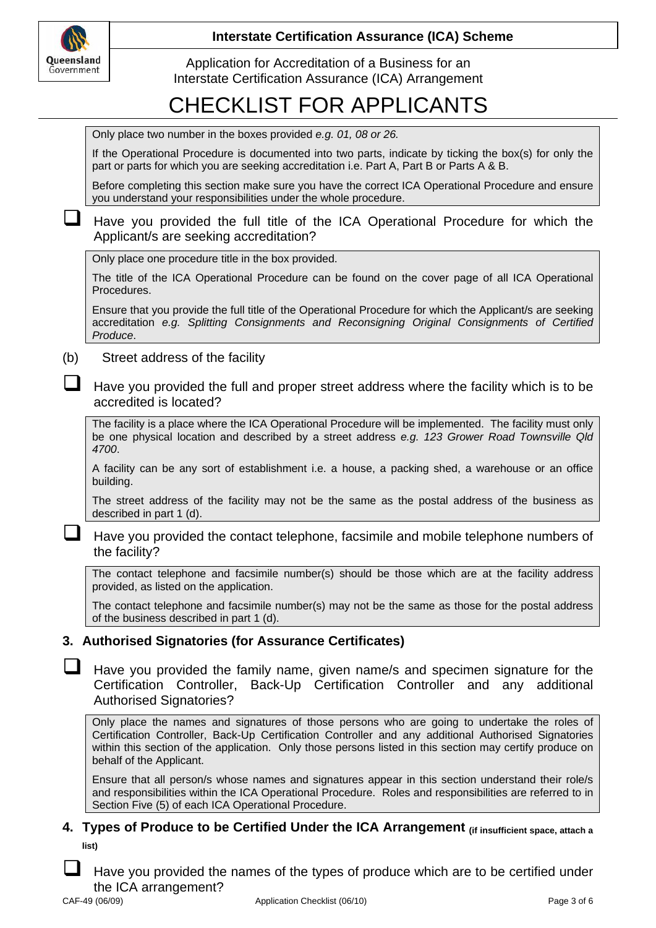

Application for Accreditation of a Business for an Interstate Certification Assurance (ICA) Arrangement

# CHECKLIST FOR APPLICANTS

If the Operational Procedure is documented into two parts, indicate by ticking the box(s) for only the part or parts for which you are seeking accreditation i.e. Part A, Part B or Parts A & B.

Before completing this section make sure you have the correct ICA Operational Procedure and ensure you understand your responsibilities under the whole procedure.

#### Have you provided the full title of the ICA Operational Procedure for which the Applicant/s are seeking accreditation?

Only place one procedure title in the box provided.

The title of the ICA Operational Procedure can be found on the cover page of all ICA Operational Procedures.

Ensure that you provide the full title of the Operational Procedure for which the Applicant/s are seeking accreditation *e.g. Splitting Consignments and Reconsigning Original Consignments of Certified Produce*.

(b) Street address of the facility

 Have you provided the full and proper street address where the facility which is to be accredited is located?

The facility is a place where the ICA Operational Procedure will be implemented. The facility must only be one physical location and described by a street address *e.g. 123 Grower Road Townsville Qld 4700*.

A facility can be any sort of establishment i.e. a house, a packing shed, a warehouse or an office building.

The street address of the facility may not be the same as the postal address of the business as described in part 1 (d).

 Have you provided the contact telephone, facsimile and mobile telephone numbers of the facility?

The contact telephone and facsimile number(s) should be those which are at the facility address provided, as listed on the application.

The contact telephone and facsimile number(s) may not be the same as those for the postal address of the business described in part 1 (d).

### **3. Authorised Signatories (for Assurance Certificates)**

 Have you provided the family name, given name/s and specimen signature for the Certification Controller, Back-Up Certification Controller and any additional Authorised Signatories?

Only place the names and signatures of those persons who are going to undertake the roles of Certification Controller, Back-Up Certification Controller and any additional Authorised Signatories within this section of the application. Only those persons listed in this section may certify produce on behalf of the Applicant.

Ensure that all person/s whose names and signatures appear in this section understand their role/s and responsibilities within the ICA Operational Procedure. Roles and responsibilities are referred to in Section Five (5) of each ICA Operational Procedure.

### **4. Types of Produce to be Certified Under the ICA Arrangement (if insufficient space, attach a list)**

 Have you provided the names of the types of produce which are to be certified under the ICA arrangement?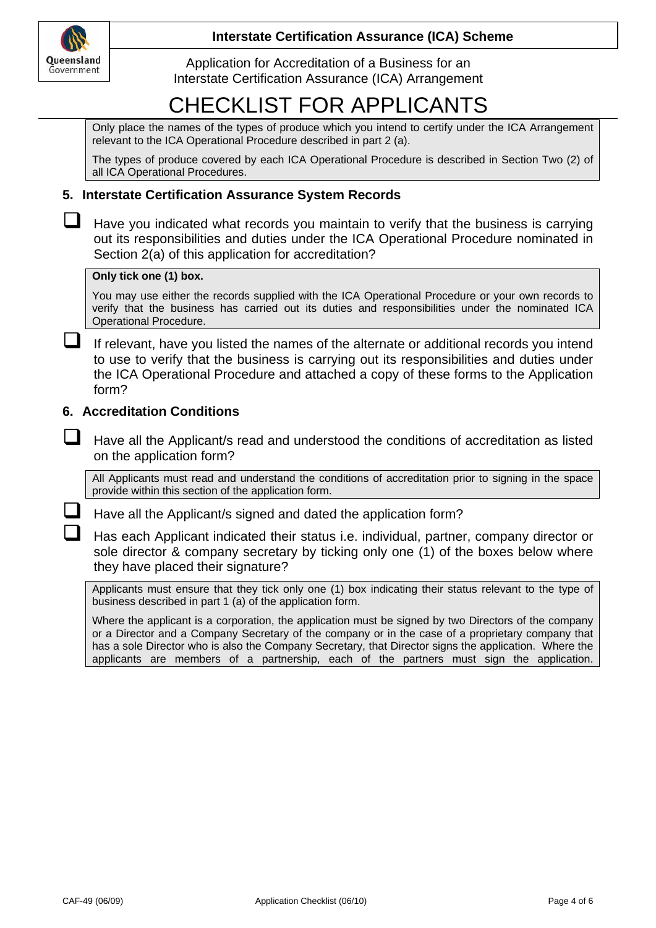

Application for Accreditation of a Business for an Interstate Certification Assurance (ICA) Arrangement

# CHECKLIST FOR APPLICANTS

Only place the names of the types of produce which you intend to certify under the ICA Arrangement relevant to the ICA Operational Procedure described in part 2 (a).

The types of produce covered by each ICA Operational Procedure is described in Section Two (2) of all ICA Operational Procedures.

#### **5. Interstate Certification Assurance System Records**

 $\Box$  Have you indicated what records you maintain to verify that the business is carrying out its responsibilities and duties under the ICA Operational Procedure nominated in Section 2(a) of this application for accreditation?

#### **Only tick one (1) box.**

You may use either the records supplied with the ICA Operational Procedure or your own records to verify that the business has carried out its duties and responsibilities under the nominated ICA Operational Procedure.

 If relevant, have you listed the names of the alternate or additional records you intend to use to verify that the business is carrying out its responsibilities and duties under the ICA Operational Procedure and attached a copy of these forms to the Application form?

#### **6. Accreditation Conditions**

 Have all the Applicant/s read and understood the conditions of accreditation as listed on the application form?

All Applicants must read and understand the conditions of accreditation prior to signing in the space provide within this section of the application form.

Have all the Applicant/s signed and dated the application form?

 Has each Applicant indicated their status i.e. individual, partner, company director or sole director & company secretary by ticking only one (1) of the boxes below where they have placed their signature?

Applicants must ensure that they tick only one (1) box indicating their status relevant to the type of business described in part 1 (a) of the application form.

Where the applicant is a corporation, the application must be signed by two Directors of the company or a Director and a Company Secretary of the company or in the case of a proprietary company that has a sole Director who is also the Company Secretary, that Director signs the application. Where the applicants are members of a partnership, each of the partners must sign the application.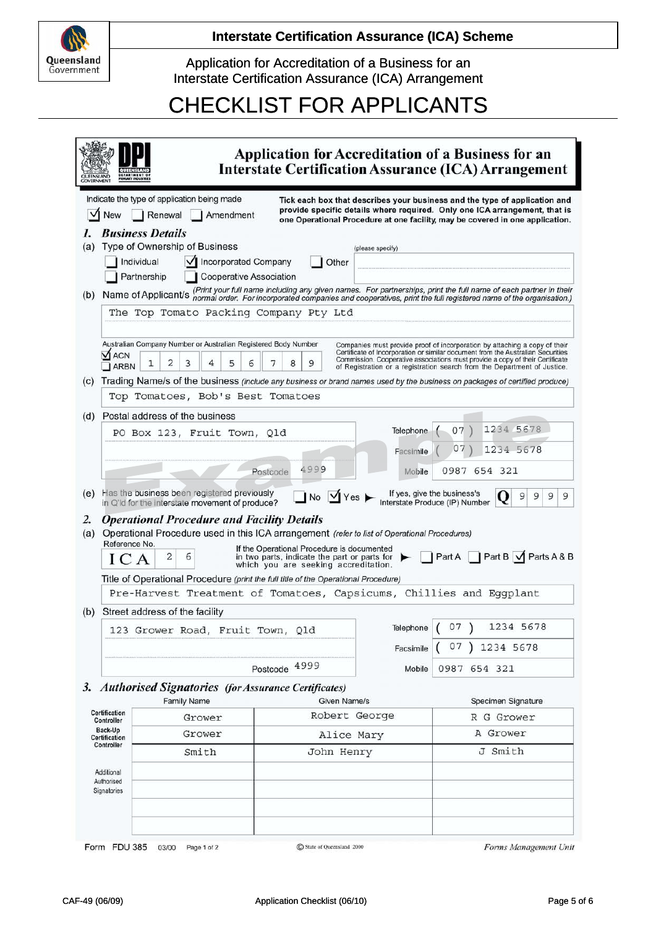

Application for Accreditation of a Business for an Interstate Certification Assurance (ICA) Arrangement

# CHECKLIST FOR APPLICANTS

| <b>UEENSLAND</b><br><b>COVERNMENT</b> |                                                                                                                                                                                                                                                                                                                                                                                                                                                                                                                                                                                                         |                                                                                                                                                           |                  |                        | Application for Accreditation of a Business for an<br><b>Interstate Certification Assurance (ICA) Arrangement</b>                                                                                                                         |  |  |  |
|---------------------------------------|---------------------------------------------------------------------------------------------------------------------------------------------------------------------------------------------------------------------------------------------------------------------------------------------------------------------------------------------------------------------------------------------------------------------------------------------------------------------------------------------------------------------------------------------------------------------------------------------------------|-----------------------------------------------------------------------------------------------------------------------------------------------------------|------------------|------------------------|-------------------------------------------------------------------------------------------------------------------------------------------------------------------------------------------------------------------------------------------|--|--|--|
|                                       | <b>New</b>                                                                                                                                                                                                                                                                                                                                                                                                                                                                                                                                                                                              | Indicate the type of application being made<br>Renewal<br>Amendment<br><b>Business Details</b>                                                            |                  |                        | Tick each box that describes your business and the type of application and<br>provide specific details where required. Only one ICA arrangement, that is<br>one Operational Procedure at one facility, may be covered in one application. |  |  |  |
| (a)                                   |                                                                                                                                                                                                                                                                                                                                                                                                                                                                                                                                                                                                         | Type of Ownership of Business                                                                                                                             |                  | (please specify)       |                                                                                                                                                                                                                                           |  |  |  |
|                                       |                                                                                                                                                                                                                                                                                                                                                                                                                                                                                                                                                                                                         | √ Incorporated Company<br>Individual                                                                                                                      | Other            |                        |                                                                                                                                                                                                                                           |  |  |  |
|                                       |                                                                                                                                                                                                                                                                                                                                                                                                                                                                                                                                                                                                         | <b>Cooperative Association</b><br>Partnership                                                                                                             |                  |                        |                                                                                                                                                                                                                                           |  |  |  |
| (b)                                   |                                                                                                                                                                                                                                                                                                                                                                                                                                                                                                                                                                                                         |                                                                                                                                                           |                  |                        | Name of Applicant/s (Print your full name including any given names. For partnerships, print the full name of each partner in their<br>Name of Applicant/s normal order. For incorporated companies and cooperatives, print the f         |  |  |  |
|                                       | The Top Tomato Packing Company Pty Ltd                                                                                                                                                                                                                                                                                                                                                                                                                                                                                                                                                                  |                                                                                                                                                           |                  |                        |                                                                                                                                                                                                                                           |  |  |  |
|                                       | Australian Company Number or Australian Registered Body Number<br>Companies must provide proof of incorporation by attaching a copy of their<br>Certificate of Incorporation or similar document from the Australian Securities<br><b>VI ACN</b><br>Commission. Cooperative associations must provide a copy of their Certificate<br>2<br>3<br>5<br>8<br>9<br>1<br>4<br>6<br>7<br><b>ARBN</b><br>of Registration or a registration search from the Department of Justice.<br>Trading Name/s of the business (include any business or brand names used by the business on packages of certified produce) |                                                                                                                                                           |                  |                        |                                                                                                                                                                                                                                           |  |  |  |
| (C)                                   |                                                                                                                                                                                                                                                                                                                                                                                                                                                                                                                                                                                                         | Top Tomatoes, Bob's Best Tomatoes                                                                                                                         |                  |                        |                                                                                                                                                                                                                                           |  |  |  |
|                                       |                                                                                                                                                                                                                                                                                                                                                                                                                                                                                                                                                                                                         |                                                                                                                                                           |                  |                        |                                                                                                                                                                                                                                           |  |  |  |
| (d)                                   |                                                                                                                                                                                                                                                                                                                                                                                                                                                                                                                                                                                                         | Postal address of the business                                                                                                                            |                  |                        | 1234 5678                                                                                                                                                                                                                                 |  |  |  |
|                                       |                                                                                                                                                                                                                                                                                                                                                                                                                                                                                                                                                                                                         | PO Box 123, Fruit Town, Qld                                                                                                                               |                  | Telephone<br>Facsimile | 07<br>07<br>1234 5678                                                                                                                                                                                                                     |  |  |  |
|                                       |                                                                                                                                                                                                                                                                                                                                                                                                                                                                                                                                                                                                         |                                                                                                                                                           | 4999<br>Postcode | Mobile                 | 0987 654 321                                                                                                                                                                                                                              |  |  |  |
| (e)                                   |                                                                                                                                                                                                                                                                                                                                                                                                                                                                                                                                                                                                         | Has the business been registered previously<br>in Q'ld for the interstate movement of produce?                                                            | No Yes           |                        | If yes, give the business's<br>Interstate Produce (IP) Number<br>9<br>9<br>9<br>9                                                                                                                                                         |  |  |  |
| 2.<br>(a)                             | <b>Operational Procedure and Facility Details</b><br>Operational Procedure used in this ICA arrangement (refer to list of Operational Procedures)<br>Reference No.<br>If the Operational Procedure is documented<br>Part B 1 Parts A & B<br>PartA<br>2<br>6<br>in two parts, indicate the part or parts for $\blacktriangleright$<br>ICA<br>which you are seeking accreditation.                                                                                                                                                                                                                        |                                                                                                                                                           |                  |                        |                                                                                                                                                                                                                                           |  |  |  |
|                                       |                                                                                                                                                                                                                                                                                                                                                                                                                                                                                                                                                                                                         | Title of Operational Procedure (print the full title of the Operational Procedure)<br>Pre-Harvest Treatment of Tomatoes, Capsicums, Chillies and Eggplant |                  |                        |                                                                                                                                                                                                                                           |  |  |  |
|                                       |                                                                                                                                                                                                                                                                                                                                                                                                                                                                                                                                                                                                         |                                                                                                                                                           |                  |                        |                                                                                                                                                                                                                                           |  |  |  |
| (b)                                   |                                                                                                                                                                                                                                                                                                                                                                                                                                                                                                                                                                                                         | Street address of the facility                                                                                                                            |                  |                        | Telephone $(07)$<br>1234 5678                                                                                                                                                                                                             |  |  |  |
| 123 Grower Road, Fruit Town, Qld      |                                                                                                                                                                                                                                                                                                                                                                                                                                                                                                                                                                                                         |                                                                                                                                                           | 07               |                        |                                                                                                                                                                                                                                           |  |  |  |
|                                       |                                                                                                                                                                                                                                                                                                                                                                                                                                                                                                                                                                                                         |                                                                                                                                                           |                  | Facsimile              | 1234 5678                                                                                                                                                                                                                                 |  |  |  |
|                                       |                                                                                                                                                                                                                                                                                                                                                                                                                                                                                                                                                                                                         |                                                                                                                                                           | Postcode 4999    | Mobile                 | 0987 654 321                                                                                                                                                                                                                              |  |  |  |
|                                       |                                                                                                                                                                                                                                                                                                                                                                                                                                                                                                                                                                                                         | 3. Authorised Signatories (for Assurance Certificates)                                                                                                    |                  |                        |                                                                                                                                                                                                                                           |  |  |  |
|                                       |                                                                                                                                                                                                                                                                                                                                                                                                                                                                                                                                                                                                         | <b>Family Name</b>                                                                                                                                        | Given Name/s     |                        | Specimen Signature                                                                                                                                                                                                                        |  |  |  |
|                                       | <b>Certification</b><br>Controller                                                                                                                                                                                                                                                                                                                                                                                                                                                                                                                                                                      | Grower                                                                                                                                                    | Robert George    |                        | R G Grower                                                                                                                                                                                                                                |  |  |  |
|                                       | Back-Up<br><b>Certification</b>                                                                                                                                                                                                                                                                                                                                                                                                                                                                                                                                                                         | Grower                                                                                                                                                    |                  | Alice Mary             | A Grower                                                                                                                                                                                                                                  |  |  |  |
|                                       | Controller                                                                                                                                                                                                                                                                                                                                                                                                                                                                                                                                                                                              | Smith<br>John Henry                                                                                                                                       |                  |                        | J Smith                                                                                                                                                                                                                                   |  |  |  |
|                                       | Additional<br>Authorised<br>Signatories                                                                                                                                                                                                                                                                                                                                                                                                                                                                                                                                                                 |                                                                                                                                                           |                  |                        |                                                                                                                                                                                                                                           |  |  |  |

Form FDU 385 03/00 Page 1 of 2

C State of Queensland 2000

Forms Management Unit